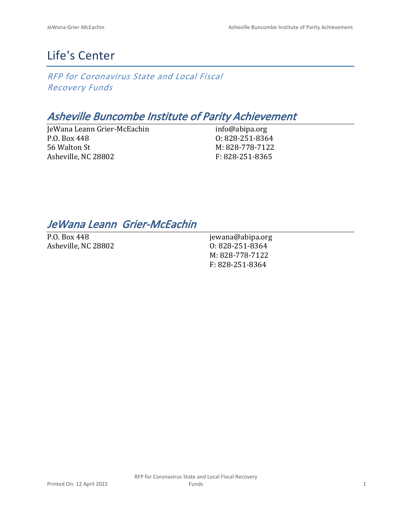## Life's Center

*RFP for Coronavirus State and Local Fiscal Recovery Funds*

### *Asheville Buncombe Institute of Parity Achievement*

JeWana Leann Grier-McEachin P.O. Box 448 56 Walton St Asheville, NC 28802

info@abipa.org O: 828-251-8364 M: 828-778-7122 F: 828-251-8365

### *JeWana Leann Grier-McEachin*

| P.O. Box 448        | jewana@abipa.org |
|---------------------|------------------|
| Asheville, NC 28802 | 0:828-251-8364   |
|                     | M: 828-778-7122  |
|                     | F: 828-251-8364  |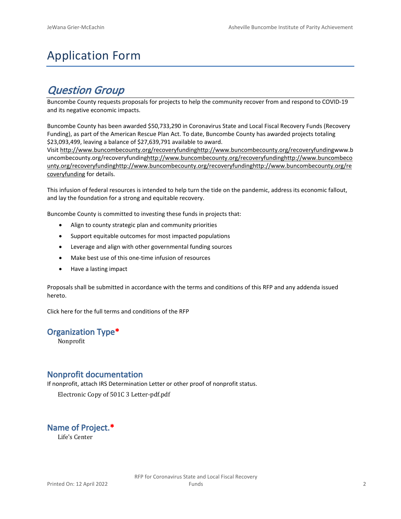# Application Form

### *Question Group*

Buncombe County requests proposals for projects to help the community recover from and respond to COVID-19 and its negative economic impacts.

Buncombe County has been awarded \$50,733,290 in Coronavirus State and Local Fiscal Recovery Funds (Recovery Funding), as part of the American Rescue Plan Act. To date, Buncombe County has awarded projects totaling \$23,093,499, leaving a balance of \$27,639,791 available to award.

Visit [http://www.buncombecounty.org/recoveryfundinghttp://www.buncombecounty.org/recoveryfundingwww.b](http://www.buncombecounty.org/recoveryfunding) [uncombecounty.org/recoveryfundinghttp://www.buncombecounty.org/recoveryfundinghttp://www.buncombeco](http://www.buncombecounty.org/recoveryfunding) [unty.org/recoveryfundinghttp://www.buncombecounty.org/recoveryfundinghttp://www.buncombecounty.org/re](http://www.buncombecounty.org/recoveryfunding) [coveryfunding](http://www.buncombecounty.org/recoveryfunding) for details.

This infusion of federal resources is intended to help turn the tide on the pandemic, address its economic fallout, and lay the foundation for a strong and equitable recovery.

Buncombe County is committed to investing these funds in projects that:

- Align to county strategic plan and community priorities
- Support equitable outcomes for most impacted populations
- Leverage and align with other governmental funding sources
- Make best use of this one-time infusion of resources
- Have a lasting impact

Proposals shall be submitted in accordance with the terms and conditions of this RFP and any addenda issued hereto.

Click [here](https://www.buncombecounty.org/common/purchasing/Buncombe%20Recovery%20Funding%20RFP%202022.pdf) for the full terms and conditions of the RFP

#### **Organization Type\***

Nonprofit

#### **Nonprofit documentation**

If nonprofit, attach IRS Determination Letter or other proof of nonprofit status.

Electronic Copy of 501C 3 Letter-pdf.pdf

**Name of Project.\***

Life's Center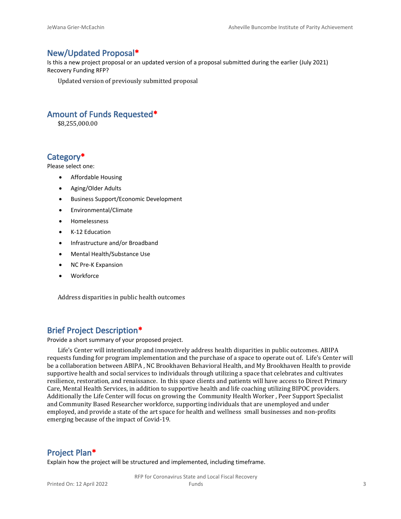#### **New/Updated Proposal\***

Is this a new project proposal or an updated version of a proposal submitted during the earlier (July 2021) Recovery Funding RFP?

Updated version of previously submitted proposal

#### **Amount of Funds Requested\***

\$8,255,000.00

#### **Category\***

Please select one:

- Affordable Housing
- Aging/Older Adults
- Business Support/Economic Development
- Environmental/Climate
- Homelessness
- K-12 Education
- Infrastructure and/or Broadband
- Mental Health/Substance Use
- NC Pre-K Expansion
- Workforce

Address disparities in public health outcomes

#### **Brief Project Description\***

Provide a short summary of your proposed project.

Life's Center will intentionally and innovatively address health disparities in public outcomes. ABIPA requests funding for program implementation and the purchase of a space to operate out of. Life's Center will be a collaboration between ABIPA , NC Brookhaven Behavioral Health, and My Brookhaven Health to provide supportive health and social services to individuals through utilizing a space that celebrates and cultivates resilience, restoration, and renaissance. In this space clients and patients will have access to Direct Primary Care, Mental Health Services, in addition to supportive health and life coaching utilizing BIPOC providers. Additionally the Life Center will focus on growing the Community Health Worker , Peer Support Specialist and Community Based Researcher workforce, supporting individuals that are unemployed and under employed, and provide a state of the art space for health and wellness small businesses and non-profits emerging because of the impact of Covid-19.

#### **Project Plan\***

Explain how the project will be structured and implemented, including timeframe.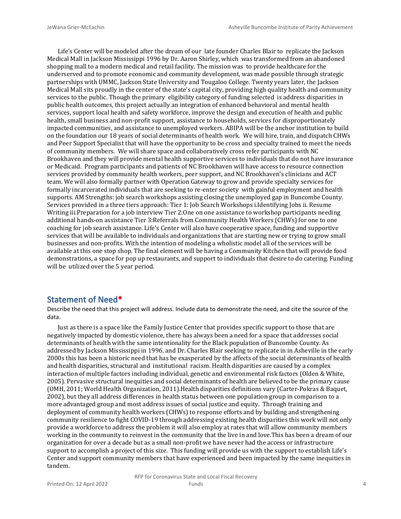Life's Center will be modeled after the dream of our late founder Charles Blair to replicate the Jackson Medical Mall in Jackson Mississippi 1996 by Dr. Aaron Shirley, which was transformed from an abandoned shopping mall to a modern medical and retail facility. The mission was to provide healthcare for the underserved and to promote economic and community development, was made possible through strategic partnerships with UMMC, Jackson State University and Tougaloo College. Twenty years later, the Jackson Medical Mall sits proudly in the center of the state's capital city, providing high quality health and community services to the public. Though the primary eligibility category of funding selected is address disparities in public health outcomes, this project actually an integration of enhanced behavioral and mental health services, support local health and safety workforce, improve the design and execution of health and public health, small business and non-profit support, assistance to households, services for disproportionately impacted communities, and assistance to unemployed workers. ABIPA will be the anchor institution to build on the foundation our 18 years of social determinants of health work. We will hire, train, and dispatch CHWs and Peer Support Specialist that will have the opportunity to be cross and specialty trained to meet the needs of community members. We will share space and collaboratively cross refer participants with NC Brookhaven and they will provide mental health supportive services to individuals that do not have insurance or Medicaid. Program participants and patients of NC Brookhaven will have access to resource connection services provided by community health workers, peer support, and NC Brookhaven's clinicians and ACT team. We will also formally partner with Operation Gateway to grow and provide specialty services for formally incarcerated individuals that are seeking to re-enter society with gainful employment and health supports. AM Strengths: job search workshops assisting closing the unemployed gap in Buncombe County. Services provided in a three tiers approach: Tier 1: Job Search Workshops i.Identifying Jobs ii. Resume Writing iii.Preparation for a job interview Tier 2:One on one assistance to workshop participants needing additional hands-on assistance Tier 3:Referrals from Community Health Workers (CHWs) for one to one coaching for job search assistance. Life's Center will also have cooperative space, funding and supportive services that will be available to individuals and organizations that are starting new or trying to grow small businesses and non-profits. With the intention of modeling a wholistic model all of the services will be available at this one stop shop. The final element will be having a Community Kitchen that will provide food demonstrations, a space for pop up restaurants, and support to individuals that desire to do catering. Funding will be utilized over the 5 year period.

#### **Statement of Need\***

Describe the need that this project will address. Include data to demonstrate the need, and cite the source of the data.

Just as there is a space like the Family Justice Center that provides specific support to those that are negatively impacted by domestic violence, there has always been a need for a space that addresses social determinants of health with the same intentionality for the Black population of Buncombe County. As addressed by Jackson Mississippi in 1996, and Dr. Charles Blair seeking to replicate in in Asheville in the early 2000s this has been a historic need that has be exasperated by the affects of the social determinants of health and health disparities, structural and institutional racism. Health disparities are caused by a complex interaction of multiple factors including individual, genetic and environmental risk factors (Olden & White, 2005). Pervasive structural inequities and social determinants of health are believed to be the primary cause (OMH, 2011; World Health Organization, 2011).Health disparities definitions vary (Carter-Pokras & Baquet, 2002), but they all address differences in health status between one population group in comparison to a more advantaged group and most address issues of social justice and equity. Through training and deployment of community health workers (CHWs) to response efforts and by building and strengthening community resilience to fight COVID-19 through addressing existing health disparities this work will not only provide a workforce to address the problem it will also employ at rates that will allow community members working in the community to reinvest in the community that the live in and love.This has been a dream of our organization for over a decade but as a small non-profit we have never had the access or infrastructure support to accomplish a project of this size. This funding will provide us with the support to establish Life's Center and support community members that have experienced and been impacted by the same inequities in tandem.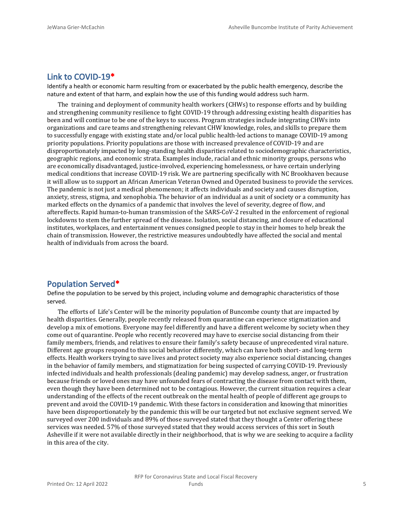#### **Link to COVID-19\***

Identify a health or economic harm resulting from or exacerbated by the public health emergency, describe the nature and extent of that harm, and explain how the use of this funding would address such harm.

The training and deployment of community health workers (CHWs) to response efforts and by building and strengthening community resilience to fight COVID-19 through addressing existing health disparities has been and will continue to be one of the keys to success. Program strategies include integrating CHWs into organizations and care teams and strengthening relevant CHW knowledge, roles, and skills to prepare them to successfully engage with existing state and/or local public health-led actions to manage COVID-19 among priority populations. Priority populations are those with increased prevalence of COVID-19 and are disproportionately impacted by long-standing health disparities related to sociodemographic characteristics, geographic regions, and economic strata. Examples include, racial and ethnic minority groups, persons who are economically disadvantaged, justice-involved, experiencing homelessness, or have certain underlying medical conditions that increase COVID-19 risk. We are partnering specifically with NC Brookhaven because it will allow us to support an African American Veteran Owned and Operated business to provide the services. The pandemic is not just a medical phenomenon; it affects individuals and society and causes disruption, anxiety, stress, stigma, and xenophobia. The behavior of an individual as a unit of society or a community has marked effects on the dynamics of a pandemic that involves the level of severity, degree of flow, and aftereffects. Rapid human-to-human transmission of the SARS-CoV-2 resulted in the enforcement of regional lockdowns to stem the further spread of the disease. Isolation, social distancing, and closure of educational institutes, workplaces, and entertainment venues consigned people to stay in their homes to help break the chain of transmission. However, the restrictive measures undoubtedly have affected the social and mental health of individuals from across the board.

#### **Population Served\***

Define the population to be served by this project, including volume and demographic characteristics of those served.

The efforts of Life's Center will be the minority population of Buncombe county that are impacted by health disparities. Generally, people recently released from quarantine can experience stigmatization and develop a mix of emotions. Everyone may feel differently and have a different welcome by society when they come out of quarantine. People who recently recovered may have to exercise social distancing from their family members, friends, and relatives to ensure their family's safety because of unprecedented viral nature. Different age groups respond to this social behavior differently, which can have both short- and long-term effects. Health workers trying to save lives and protect society may also experience social distancing, changes in the behavior of family members, and stigmatization for being suspected of carrying COVID-19. Previously infected individuals and health professionals (dealing pandemic) may develop sadness, anger, or frustration because friends or loved ones may have unfounded fears of contracting the disease from contact with them, even though they have been determined not to be contagious. However, the current situation requires a clear understanding of the effects of the recent outbreak on the mental health of people of different age groups to prevent and avoid the COVID-19 pandemic. With these factors in consideration and knowing that minorities have been disproportionately by the pandemic this will be our targeted but not exclusive segment served. We surveyed over 200 individuals and 89% of those surveyed stated that they thought a Center offering these services was needed. 57% of those surveyed stated that they would access services of this sort in South Asheville if it were not available directly in their neighborhood, that is why we are seeking to acquire a facility in this area of the city.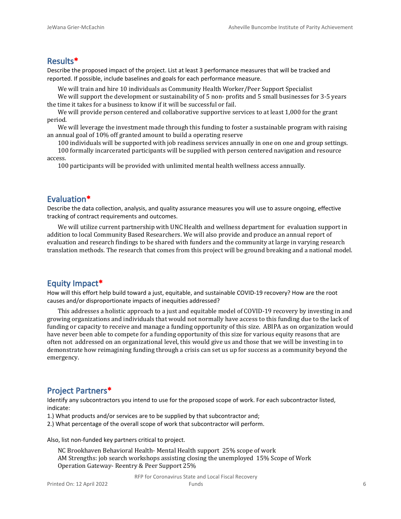#### **Results\***

Describe the proposed impact of the project. List at least 3 performance measures that will be tracked and reported. If possible, include baselines and goals for each performance measure.

We will train and hire 10 individuals as Community Health Worker/Peer Support Specialist

We will support the development or sustainability of 5 non- profits and 5 small businesses for 3-5 years the time it takes for a business to know if it will be successful or fail.

We will provide person centered and collaborative supportive services to at least 1,000 for the grant period.

We will leverage the investment made through this funding to foster a sustainable program with raising an annual goal of 10% off granted amount to build a operating reserve

100 individuals will be supported with job readiness services annually in one on one and group settings.

100 formally incarcerated participants will be supplied with person centered navigation and resource access.

100 participants will be provided with unlimited mental health wellness access annually.

#### **Evaluation\***

Describe the data collection, analysis, and quality assurance measures you will use to assure ongoing, effective tracking of contract requirements and outcomes.

We will utilize current partnership with UNC Health and wellness department for evaluation support in addition to local Community Based Researchers. We will also provide and produce an annual report of evaluation and research findings to be shared with funders and the community at large in varying research translation methods. The research that comes from this project will be ground breaking and a national model.

#### **Equity Impact\***

How will this effort help build toward a just, equitable, and sustainable COVID-19 recovery? How are the root causes and/or disproportionate impacts of inequities addressed?

This addresses a holistic approach to a just and equitable model of COVID-19 recovery by investing in and growing organizations and individuals that would not normally have access to this funding due to the lack of funding or capacity to receive and manage a funding opportunity of this size. ABIPA as on organization would have never been able to compete for a funding opportunity of this size for various equity reasons that are often not addressed on an organizational level, this would give us and those that we will be investing in to demonstrate how reimagining funding through a crisis can set us up for success as a community beyond the emergency.

#### **Project Partners\***

Identify any subcontractors you intend to use for the proposed scope of work. For each subcontractor listed, indicate:

1.) What products and/or services are to be supplied by that subcontractor and;

2.) What percentage of the overall scope of work that subcontractor will perform.

Also, list non-funded key partners critical to project.

NC Brookhaven Behavioral Health- Mental Health support 25% scope of work AM Strengths: job search workshops assisting closing the unemployed 15% Scope of Work Operation Gateway- Reentry & Peer Support 25%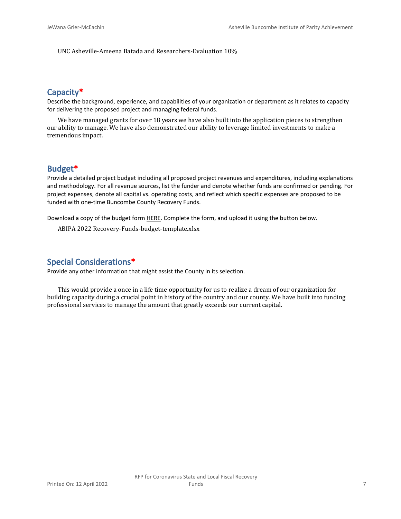UNC Asheville-Ameena Batada and Researchers-Evaluation 10%

#### **Capacity\***

Describe the background, experience, and capabilities of your organization or department as it relates to capacity for delivering the proposed project and managing federal funds.

We have managed grants for over 18 years we have also built into the application pieces to strengthen our ability to manage. We have also demonstrated our ability to leverage limited investments to make a tremendous impact.

#### **Budget\***

Provide a detailed project budget including all proposed project revenues and expenditures, including explanations and methodology. For all revenue sources, list the funder and denote whether funds are confirmed or pending. For project expenses, denote all capital vs. operating costs, and reflect which specific expenses are proposed to be funded with one-time Buncombe County Recovery Funds.

Download a copy of the budget form [HERE](https://buncombecounty.org/common/community-investment/grants/early-childhood-education/Recovery-Funds-budget-template.xlsx). Complete the form, and upload it using the button below.

ABIPA 2022 Recovery-Funds-budget-template.xlsx

#### **Special Considerations\***

Provide any other information that might assist the County in its selection.

This would provide a once in a life time opportunity for us to realize a dream of our organization for building capacity during a crucial point in history of the country and our county. We have built into funding professional services to manage the amount that greatly exceeds our current capital.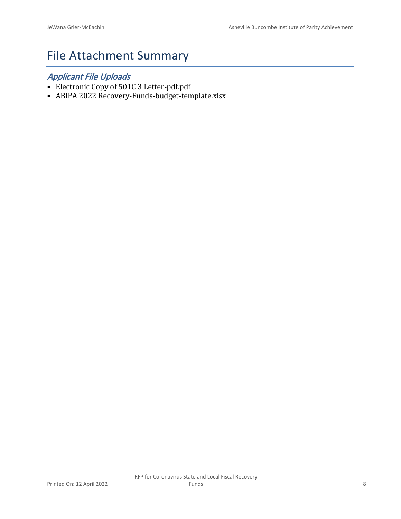# File Attachment Summary

### *Applicant File Uploads*

- Electronic Copy of 501C 3 Letter-pdf.pdf
- ABIPA 2022 Recovery-Funds-budget-template.xlsx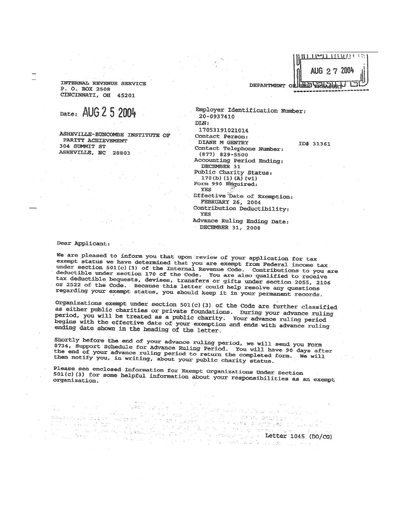2 7 2004 DEPARTMENT OF HEEL

INTERNAL REVENUE SERVICE P. O. BOX 2508 CINCINNATI, OH 45201

Date: AUG 2 5 2004

ASHEVILLE-BUNCOMBE INSTITUTE OF PARITY ACHIEVEMENT 304 SUMMIT ST ASHEVILLE, NC 28803

Employer Identification Number: 20-0937410 DLN: 17053191021014 Contact Person: DIANE M GENTRY Contact Telephone Number:  $(877)$  829-5500 Accounting Period Ending: DECEMBER 31 Public Charity Status:  $170(b)$  (1) (A) (vi) Form 990 Required: **YES** Effective Date of Exemption: **FEBRUARY 26, 2004** Contribution Deductibility: **YES** Advance Ruling Ending Date: DECEMBER 31, 2008

ID# 31361

Dear Applicant:

We are pleased to inform you that upon review of your application for tax exempt status we have determined that you are exempt from Federal income tax under section 501(c)(3) of the Internal Revenue Code. Contributions to you are deductible under section 170 of the Code. You are also qualified to receive tax deductible bequests, devises, transfers or gifts under section 2055, 2106 or 2522 of the Code. Because this letter could help resolve any questions regarding your exempt status, you should keep it in your permanent records.

Organizations exempt under section  $501(c)$  (3) of the Code are further classified as either public charities or private foundations. During your advance ruling period, you will be treated as a public charity. Your advance ruling period begins with the effective date of your exemption and ends with advance ruling ending date shown in the heading of the letter.

Shortly before the end of your advance ruling period, we will send you Form 8734, Support Schedule for Advance Ruling Period. You will have 90 days after the end of your advance ruling period to return the completed form. We will then notify you, in writing, about your public charity status.

Please see enclosed Information for Exempt Organizations Under Section  $501(c)$  (3) for some helpful information about your responsibilities as an exempt

 $-25.5$  $\frac{1}{\sqrt{2}}$  $\frac{2\pi}{3}$  ,  $\frac{2\pi}{3}$ Since William States and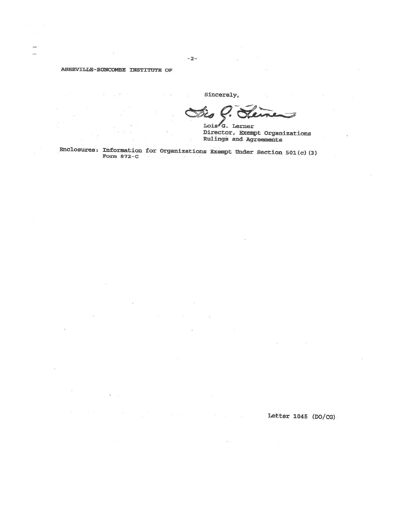#### ASHEVILLE-BUNCOMBE INSTITUTE OF

 $\alpha$ 

Sincerely,

Lois<sup>6</sup>G. Lerner Director, Exempt Organizations Rulings and Agreements

Enclosures: Information for Organizations Exempt Under Section 501(c)(3) Form 872-C

 $\frac{1}{2\sqrt{2}}$ 

Letter 1045  $(DO/CG)$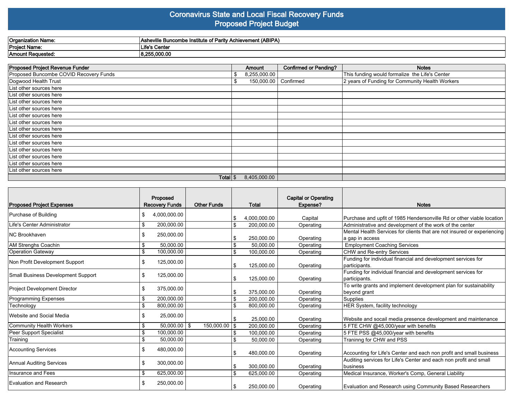#### **Coronavirus State and Local Fiscal Recovery Funds Proposed Project Budget**

| Organization Name: | hievement (ABIPA)<br><b>Buncombe</b><br>Ash<br>…ville ·<br>. IIIouuuc v |
|--------------------|-------------------------------------------------------------------------|
| Project Name:      | - 10 -<br>mre                                                           |
| Amount Requested:  | - J.UUU.UU                                                              |

| Proposed Project Revenue Funder        | Amount       | <b>Confirmed or Pending?</b> | <b>Notes</b>                                    |
|----------------------------------------|--------------|------------------------------|-------------------------------------------------|
| Proposed Buncombe COVID Recovery Funds | 8,255,000.00 |                              | This funding would formalize the Life's Center  |
| Dogwood Health Trust                   | 150,000.00   | Confirmed                    | 2 years of Funding for Community Health Workers |
| List other sources here                |              |                              |                                                 |
| List other sources here                |              |                              |                                                 |
| List other sources here                |              |                              |                                                 |
| List other sources here                |              |                              |                                                 |
| List other sources here                |              |                              |                                                 |
| List other sources here                |              |                              |                                                 |
| List other sources here                |              |                              |                                                 |
| List other sources here                |              |                              |                                                 |
| List other sources here                |              |                              |                                                 |
| List other sources here                |              |                              |                                                 |
| List other sources here                |              |                              |                                                 |
| List other sources here                |              |                              |                                                 |
| List other sources here                |              |                              |                                                 |
| Total $\frac{1}{3}$                    | 8,405,000.00 |                              |                                                 |

| <b>Proposed Project Expenses</b>   | Proposed<br><b>Recovery Funds</b> | <b>Other Funds</b> | Total            | <b>Capital or Operating</b><br>Expense? | <b>Notes</b>                                                                               |
|------------------------------------|-----------------------------------|--------------------|------------------|-----------------------------------------|--------------------------------------------------------------------------------------------|
| Purchase of Building               | 4,000,000.00<br>\$                |                    | 4,000,000.00     | Capital                                 | Purchase and upfit of 1985 Hendersonville Rd or other viable location                      |
| Life's Center Administrator        | 200.000.00<br>\$                  |                    | \$<br>200,000.00 | Operating                               | Administrative and development of the work of the center                                   |
| <b>INC Brookhaven</b>              | 250,000.00<br>\$                  |                    | \$<br>250,000.00 | Operating                               | Mental Health Services for clients that are not insured or experiencing<br>a gap in access |
| <b>AM Strenghs Coachin</b>         | 50,000.00<br>\$                   |                    | \$<br>50.000.00  | Operating                               | <b>Employment Coaching Services</b>                                                        |
| Operation Gateway                  | \$<br>100,000.00                  |                    | \$<br>100,000.00 | Operating                               | CHW and Re-entry Services                                                                  |
| Non Profit Development Support     | \$<br>125,000.00                  |                    | \$<br>125,000.00 | Operating                               | Funding for individual financial and development services for<br>participants.             |
| Small Business Development Support | \$<br>125,000.00                  |                    | \$<br>125,000.00 | Operating                               | Funding for individual financial and development services for<br>participants.             |
| Project Development Director       | \$<br>375,000.00                  |                    | \$<br>375.000.00 | Operating                               | To write grants and implement development plan for sustainability<br>beyond grant          |
| Programming Expenses               | 200,000.00<br>\$                  |                    | \$<br>200,000.00 | Operating                               | Supplies                                                                                   |
| Technology                         | \$<br>800,000.00                  |                    | \$<br>800,000.00 | Operating                               | HER System, facility technology                                                            |
| Website and Social Media           | 25,000.00<br>\$                   |                    | \$<br>25,000.00  | Operating                               | Website and socail media presence development and maintenance                              |
| Community Health Workers           | \$<br>$50,000.00$   \$            | $150,000.00$ \\$   | 200,000.00       | Operating                               | 5 FTE CHW @45,000/year with benefits                                                       |
| Peer Support Specialist            | \$<br>100,000.00                  |                    | \$<br>100,000.00 | Operating                               | 5 FTE PSS @45,000/year with benefits                                                       |
| Training                           | \$<br>50,000.00                   |                    | \$<br>50,000.00  | Operating                               | Traninng for CHW and PSS                                                                   |
| <b>Accounting Services</b>         | 480,000.00<br>\$                  |                    | \$<br>480,000.00 | Operating                               | Accounting for Life's Center and each non profit and small business                        |
| Annual Auditing Services           | \$<br>300,000.00                  |                    | 300,000.00       | Operating                               | Auditing services for Life's Center and each non profit and small<br>business              |
| Insurance and Fees                 | \$<br>625,000.00                  |                    | \$<br>625,000.00 | Operating                               | Medical Insurance, Worker's Comp, General Liability                                        |
| Evaluation and Research            | \$<br>250,000.00                  |                    | \$<br>250.000.00 | Operating                               | Evaluation and Research using Community Based Researchers                                  |